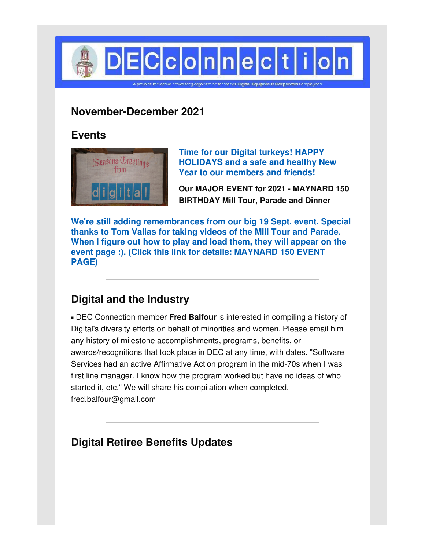

## **November-December 2021**

## **Events**



**Time for our Digital turkeys! HAPPY HOLIDAYS and a safe and healthy New Year to our members and friends!**

**Our MAJOR EVENT for 2021 - MAYNARD 150 BIRTHDAY Mill Tour, Parade and Dinner**

**We're still adding remembrances from our big 19 Sept. event. Special thanks to Tom Vallas for taking videos of the Mill Tour and Parade. When I figure out how to play and load them, they will appear on the event page :). (Click this link for details: [MAYNARD](http://www.decconnection.org/events-Maynard150-19Sep21.htm) 150 EVENT PAGE)**

# **Digital and the Industry**

▪ DEC Connection member **Fred Balfour** is interested in compiling a history of Digital's diversity efforts on behalf of minorities and women. Please email him any history of milestone accomplishments, programs, benefits, or awards/recognitions that took place in DEC at any time, with dates. "Software Services had an active Affirmative Action program in the mid-70s when I was first line manager. I know how the program worked but have no ideas of who started it, etc." We will share his compilation when completed. fred.balfour@gmail.com

# **Digital Retiree Benefits Updates**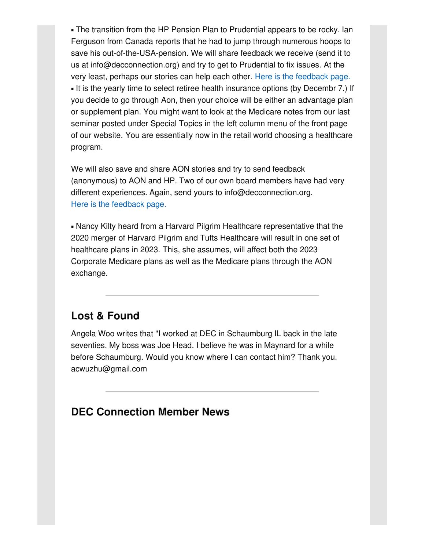• The transition from the HP Pension Plan to Prudential appears to be rocky. Ian Ferguson from Canada reports that he had to jump through numerous hoops to save his out-of-the-USA-pension. We will share feedback we receive (send it to us at info@decconnection.org) and try to get to Prudential to fix issues. At the very least, perhaps our stories can help each other. Here is the [feedback](http://www.decconnection.org/prudentialpensions.htm) page. ▪ It is the yearly time to select retiree health insurance options (by Decembr 7.) If you decide to go through Aon, then your choice will be either an advantage plan or supplement plan. You might want to look at the Medicare notes from our last seminar posted under Special Topics in the left column menu of the front page of our website. You are essentially now in the retail world choosing a healthcare program.

We will also save and share AON stories and try to send feedback (anonymous) to AON and HP. Two of our own board members have had very different experiences. Again, send yours to info@decconnection.org. Here is the [feedback](http://www.decconnection.org/hpretiree-medical.htm) page.

▪ Nancy Kilty heard from a Harvard Pilgrim Healthcare representative that the 2020 merger of Harvard Pilgrim and Tufts Healthcare will result in one set of healthcare plans in 2023. This, she assumes, will affect both the 2023 Corporate Medicare plans as well as the Medicare plans through the AON exchange.

## **Lost & Found**

Angela Woo writes that "I worked at DEC in Schaumburg IL back in the late seventies. My boss was Joe Head. I believe he was in Maynard for a while before Schaumburg. Would you know where I can contact him? Thank you. acwuzhu@gmail.com

## **DEC Connection Member News**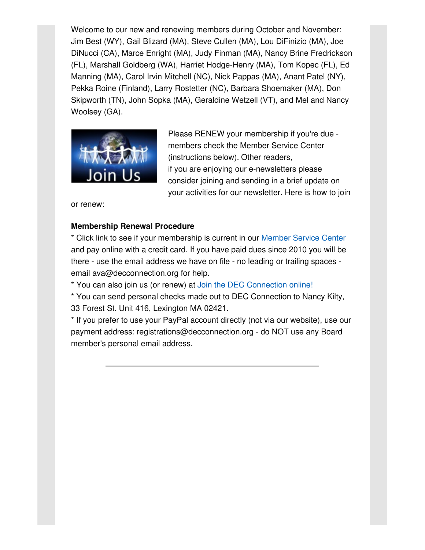Welcome to our new and renewing members during October and November: Jim Best (WY), Gail Blizard (MA), Steve Cullen (MA), Lou DiFinizio (MA), Joe DiNucci (CA), Marce Enright (MA), Judy Finman (MA), Nancy Brine Fredrickson (FL), Marshall Goldberg (WA), Harriet Hodge-Henry (MA), Tom Kopec (FL), Ed Manning (MA), Carol Irvin Mitchell (NC), Nick Pappas (MA), Anant Patel (NY), Pekka Roine (Finland), Larry Rostetter (NC), Barbara Shoemaker (MA), Don Skipworth (TN), John Sopka (MA), Geraldine Wetzell (VT), and Mel and Nancy Woolsey (GA).



Please RENEW your membership if you're due members check the Member Service Center (instructions below). Other readers, if you are enjoying our e-newsletters please consider joining and sending in a brief update on your activities for our newsletter. Here is how to join

or renew:

#### **Membership Renewal Procedure**

\* Click link to see if your membership is current in our [Member](http://www.decconnection.org/msclogin.php) Service Center and pay online with a credit card. If you have paid dues since 2010 you will be there - use the email address we have on file - no leading or trailing spaces email ava@decconnection.org for help.

\* You can also join us (or renew) at Join the DEC [Connection](http://www.decconnection.org/join-online.htm) online!

\* You can send personal checks made out to DEC Connection to Nancy Kilty, 33 Forest St. Unit 416, Lexington MA 02421.

\* If you prefer to use your PayPal account directly (not via our website), use our payment address: registrations@decconnection.org - do NOT use any Board member's personal email address.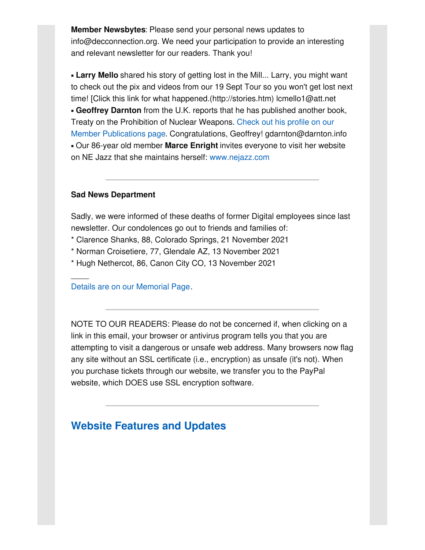**Member Newsbytes**: Please send your personal news updates to info@decconnection.org. We need your participation to provide an interesting and relevant newsletter for our readers. Thank you!

**- Larry Mello** shared his story of getting lost in the Mill... Larry, you might want to check out the pix and videos from our 19 Sept Tour so you won't get lost next time! [Click this link for what happened.(http://stories.htm) lcmello1@att.net ▪ **Geoffrey Darnton** from the U.K. reports that he has published another book, Treaty on the Prohibition of Nuclear Weapons. Check out his profile on our Member Publications page. Congratulations, Geoffrey! [gdarnton@darnton.](http://www.decconnection.org/MembersinPrint.htm)info ▪ Our 86-year old member **Marce Enright** invites everyone to visit her website on NE Jazz that she maintains herself: [www.nejazz.com](http://www.nejazz.com)

#### **Sad News Department**

 $\overline{\phantom{a}}$ 

Sadly, we were informed of these deaths of former Digital employees since last newsletter. Our condolences go out to friends and families of:

- \* Clarence Shanks, 88, Colorado Springs, 21 November 2021
- \* Norman Croisetiere, 77, Glendale AZ, 13 November 2021
- \* Hugh Nethercot, 86, Canon City CO, 13 November 2021

Details are on our [Memorial](http://www.decconnection.org/memorials.htm) Page.

NOTE TO OUR READERS: Please do not be concerned if, when clicking on a link in this email, your browser or antivirus program tells you that you are attempting to visit a dangerous or unsafe web address. Many browsers now flag any site without an SSL certificate (i.e., encryption) as unsafe (it's not). When you purchase tickets through our website, we transfer you to the PayPal website, which DOES use SSL encryption software.

## **Website [Features](http://www.decconnection.org) and Updates**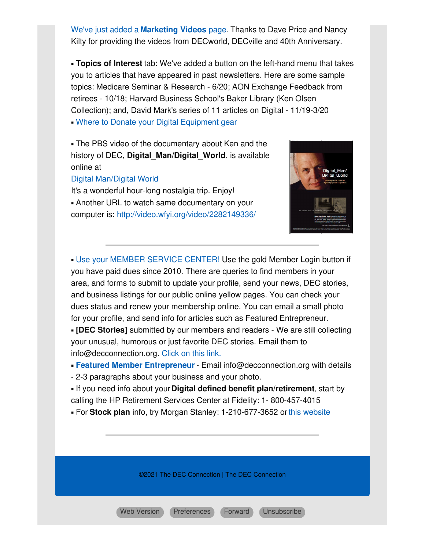We've just added a **[Marketing](http://www.decconnection.org/marketingvideos.htm) Videos** page. Thanks to Dave Price and Nancy Kilty for providing the videos from DECworld, DECville and 40th Anniversary.

▪ **Topics of Interest** tab: We've added a button on the left-hand menu that takes you to articles that have appeared in past newsletters. Here are some sample topics: Medicare Seminar & Research - 6/20; AON Exchange Feedback from retirees - 10/18; Harvard Business School's Baker Library (Ken Olsen Collection); and, David Mark's series of 11 articles on Digital - 11/19-3/20 • Where to Donate your Digital [Equipment](http://www.decconnection.org/DECdonations.htm) gear

• The PBS video of the documentary about Ken and the history of DEC, **Digital\_Man/Digital\_World**, is available online at

#### Digital [Man/Digital](https://www.pbs.org/video/digital-man-digital-world/) World

It's a wonderful hour-long nostalgia trip. Enjoy! **.** Another URL to watch same documentary on your computer is: <http://video.wfyi.org/video/2282149336/>



**. Use your MEMBER [SERVICE](http://www.decconnection.org/msclogin.php) CENTER! Use the gold Member Login button if** you have paid dues since 2010. There are queries to find members in your area, and forms to submit to update your profile, send your news, DEC stories, and business listings for our public online yellow pages. You can check your dues status and renew your membership online. You can email a small photo for your profile, and send info for articles such as Featured Entrepreneur.

▪ **[DEC Stories]** submitted by our members and readers - We are still collecting your unusual, humorous or just favorite DEC stories. Email them to info@decconnection.org. [Click](http://www.decconnection.org/stories.htm) on this link.

▪ **Featured Member [Entrepreneur](http://www.decconnection.org/entrepreneur.htm)** - Email info@decconnection.org with details

- 2-3 paragraphs about your business and your photo.

▪ If you need info about your**Digital defined benefit plan/retirement**, start by calling the HP Retirement Services Center at Fidelity: 1- 800-457-4015

▪ For **Stock plan** info, try Morgan Stanley: 1-210-677-3652 orthis [website](http://www.morganstanley.com/spc/knowledge/getting-started/service/stockplan-connect-has-replaced-benefit-access.html)

©2021 The DEC Connection | The DEC Connection

Web [Version](https://gem.godaddy.com/p/8e85131?pact=0-0-0-864282bb90492c26bd775b6a23655313fd13d23d) [Preferences](https://gem.godaddy.com/subscription/edit?pact=0-0-0-864282bb90492c26bd775b6a23655313fd13d23d) [Forward](https://gem.godaddy.com/forward/0-0-0-864282bb90492c26bd775b6a23655313fd13d23d) [Unsubscribe](https://gem.godaddy.com/opt_out?pact=0-0-0-864282bb90492c26bd775b6a23655313fd13d23d)